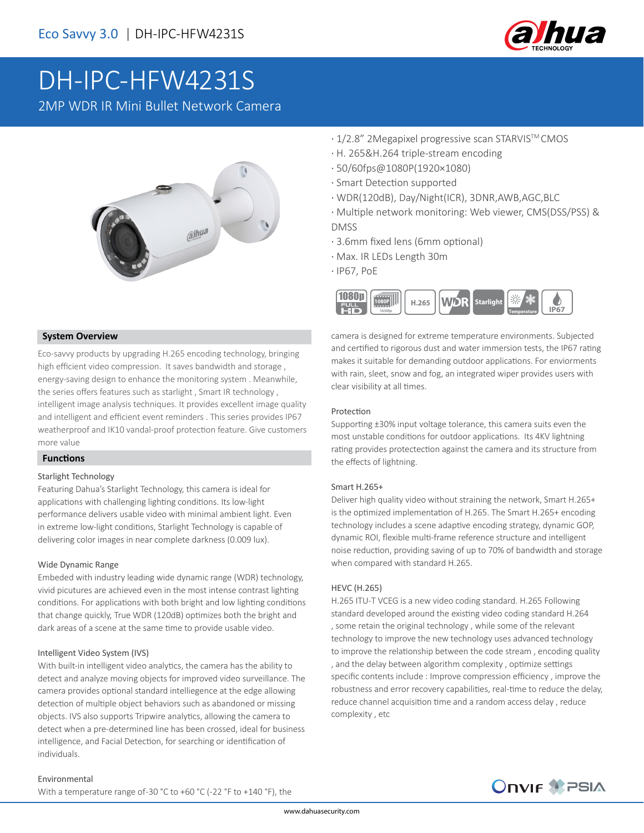

# DH-IPC-HFW4231S

2MP WDR IR Mini Bullet Network Camera



### **System Overview**

Eco-savvy products by upgrading H.265 encoding technology, bringing high efficient video compression. It saves bandwidth and storage , energy-saving design to enhance the monitoring system . Meanwhile, the series offers features such as starlight , Smart IR technology , intelligent image analysis techniques. It provides excellent image quality and intelligent and efficient event reminders . This series provides IP67 weatherproof and IK10 vandal-proof protection feature. Give customers more value

#### **Functions**

#### Starlight Technology

Featuring Dahua's Starlight Technology, this camera is ideal for applications with challenging lighting conditions. Its low-light performance delivers usable video with minimal ambient light. Even in extreme low-light conditions, Starlight Technology is capable of delivering color images in near complete darkness (0.009 lux).

#### Wide Dynamic Range

Embeded with industry leading wide dynamic range (WDR) technology, vivid picutures are achieved even in the most intense contrast lighting conditions. For applications with both bright and low lighting conditions that change quickly, True WDR (120dB) optimizes both the bright and dark areas of a scene at the same time to provide usable video.

#### Intelligent Video System (IVS)

With built-in intelligent video analytics, the camera has the ability to detect and analyze moving objects for improved video surveillance. The camera provides optional standard intelliegence at the edge allowing detection of multiple object behaviors such as abandoned or missing objects. IVS also supports Tripwire analytics, allowing the camera to detect when a pre-determined line has been crossed, ideal for business intelligence, and Facial Detection, for searching or identification of individuals.

#### Environmental

With a temperature range of -30 °C to +60 °C (-22 °F to +140 °F), the

- · 1/2.8" 2Megapixel progressive scan STARVISTM CMOS
- · H. 265&H.264 triple-stream encoding
- · 50/60fps@1080P(1920×1080)
- · Smart Detection supported
- · WDR(120dB), Day/Night(ICR), 3DNR,AWB,AGC,BLC
- · Multiple network monitoring: Web viewer, CMS(DSS/PSS) & DMSS
- · 3.6mm fixed lens (6mm optional)
- · Max. IR LEDs Length 30m
- · IP67, PoE



camera is designed for extreme temperature environments. Subjected and certified to rigorous dust and water immersion tests, the IP67 rating makes it suitable for demanding outdoor applications. For enviorments with rain, sleet, snow and fog, an integrated wiper provides users with clear visibility at all times.

#### Protection

Supporting ±30% input voltage tolerance, this camera suits even the most unstable conditions for outdoor applications. Its 4KV lightning rating provides protectection against the camera and its structure from the effects of lightning.

#### Smart H.265+

Deliver high quality video without straining the network, Smart H.265+ is the optimized implementation of H.265. The Smart H.265+ encoding technology includes a scene adaptive encoding strategy, dynamic GOP, dynamic ROI, flexible multi-frame reference structure and intelligent noise reduction, providing saving of up to 70% of bandwidth and storage when compared with standard H.265.

#### HEVC (H.265)

H.265 ITU-T VCEG is a new video coding standard. H.265 Following standard developed around the existing video coding standard H.264 , some retain the original technology , while some of the relevant technology to improve the new technology uses advanced technology to improve the relationship between the code stream , encoding quality , and the delay between algorithm complexity , optimize settings specific contents include : Improve compression efficiency , improve the robustness and error recovery capabilities, real-time to reduce the delay, reduce channel acquisition time and a random access delay , reduce complexity , etc

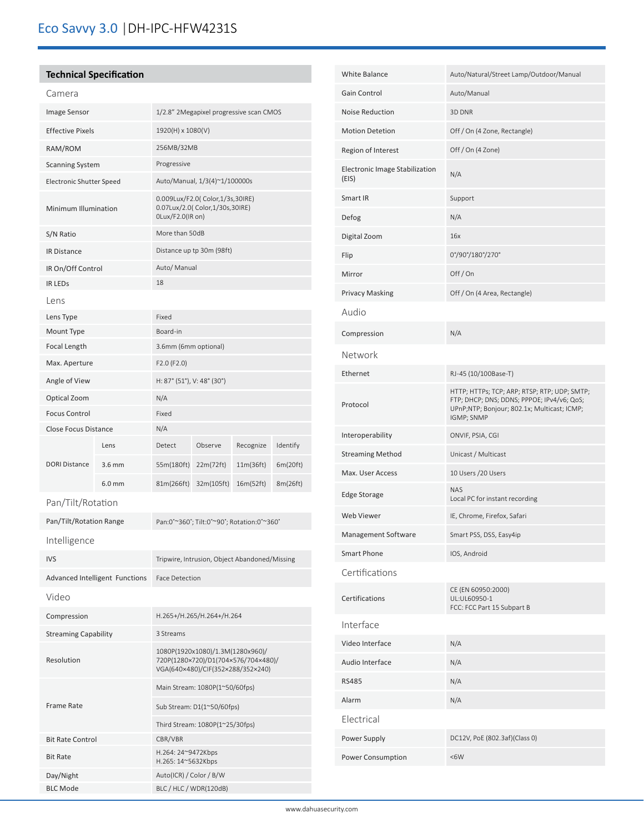# **Technical Specification**

ׇ֚֬

| Camera                          |                                       |                                                                                                              |            |           |          |
|---------------------------------|---------------------------------------|--------------------------------------------------------------------------------------------------------------|------------|-----------|----------|
| Image Sensor                    |                                       | 1/2.8" 2Megapixel progressive scan CMOS                                                                      |            |           |          |
| <b>Effective Pixels</b>         |                                       | 1920(H) x 1080(V)                                                                                            |            |           |          |
| RAM/ROM                         |                                       | 256MB/32MB                                                                                                   |            |           |          |
| <b>Scanning System</b>          |                                       | Progressive                                                                                                  |            |           |          |
| <b>Electronic Shutter Speed</b> |                                       | Auto/Manual, 1/3(4)~1/100000s                                                                                |            |           |          |
| Minimum Illumination            |                                       | 0.009Lux/F2.0( Color,1/3s,30IRE)<br>0.07Lux/2.0( Color,1/30s,30IRE)<br>OLux/F2.0(IR on)                      |            |           |          |
| S/N Ratio                       |                                       | More than 50dB                                                                                               |            |           |          |
| IR Distance                     |                                       | Distance up tp 30m (98ft)                                                                                    |            |           |          |
| IR On/Off Control               |                                       | Auto/ Manual                                                                                                 |            |           |          |
| <b>IR LEDS</b>                  |                                       | 18                                                                                                           |            |           |          |
| Lens                            |                                       |                                                                                                              |            |           |          |
| Lens Type                       |                                       | Fixed                                                                                                        |            |           |          |
| Mount Type                      |                                       | Board-in                                                                                                     |            |           |          |
| <b>Focal Length</b>             |                                       | 3.6mm (6mm optional)                                                                                         |            |           |          |
| Max. Aperture                   |                                       | F2.0 (F2.0)                                                                                                  |            |           |          |
| Angle of View                   |                                       | H: 87° (51°), V: 48° (30°)                                                                                   |            |           |          |
| Optical Zoom                    |                                       | N/A                                                                                                          |            |           |          |
| <b>Focus Control</b>            |                                       | Fixed                                                                                                        |            |           |          |
| Close Focus Distance            |                                       | N/A                                                                                                          |            |           |          |
|                                 | Lens                                  | Detect                                                                                                       | Observe    | Recognize | Identify |
| <b>DORI Distance</b>            | $3.6$ mm                              | 55m(180ft)                                                                                                   | 22m(72ft)  | 11m(36ft) | 6m(20ft) |
|                                 | $6.0$ mm                              | 81m(266ft)                                                                                                   | 32m(105ft) | 16m(52ft) | 8m(26ft) |
| Pan/Tilt/Rotation               |                                       |                                                                                                              |            |           |          |
| Pan/Tilt/Rotation Range         |                                       | Pan:0°~360°; Tilt:0°~90°; Rotation:0°~360°                                                                   |            |           |          |
| Intelligence                    |                                       |                                                                                                              |            |           |          |
| IVS                             |                                       | Tripwire, Intrusion, Object Abandoned/Missing                                                                |            |           |          |
|                                 | <b>Advanced Intelligent Functions</b> | <b>Face Detection</b>                                                                                        |            |           |          |
| Video                           |                                       |                                                                                                              |            |           |          |
| Compression                     |                                       | H.265+/H.265/H.264+/H.264                                                                                    |            |           |          |
| <b>Streaming Capability</b>     |                                       | 3 Streams                                                                                                    |            |           |          |
| Resolution                      |                                       | 1080P(1920x1080)/1.3M(1280x960)/<br>720P(1280×720)/D1(704×576/704×480)/<br>VGA(640×480)/CIF(352×288/352×240) |            |           |          |
|                                 |                                       | Main Stream: 1080P(1~50/60fps)                                                                               |            |           |          |
| <b>Frame Rate</b>               |                                       | Sub Stream: D1(1~50/60fps)                                                                                   |            |           |          |
|                                 |                                       | Third Stream: 1080P(1~25/30fps)                                                                              |            |           |          |
| <b>Bit Rate Control</b>         |                                       | CBR/VBR                                                                                                      |            |           |          |
| <b>Bit Rate</b>                 |                                       | H.264: 24~9472Kbps<br>H.265: 14~5632Kbps                                                                     |            |           |          |
| Day/Night                       |                                       | Auto(ICR) / Color / B/W                                                                                      |            |           |          |
| <b>BLC Mode</b>                 |                                       | BLC / HLC / WDR(120dB)                                                                                       |            |           |          |

| White Balance                           | Auto/Natural/Street Lamp/Outdoor/Manual                                                                                                                 |  |  |  |
|-----------------------------------------|---------------------------------------------------------------------------------------------------------------------------------------------------------|--|--|--|
| Gain Control                            | Auto/Manual                                                                                                                                             |  |  |  |
| Noise Reduction                         | 3D DNR                                                                                                                                                  |  |  |  |
| <b>Motion Detetion</b>                  | Off / On (4 Zone, Rectangle)                                                                                                                            |  |  |  |
| Region of Interest                      | Off / On (4 Zone)                                                                                                                                       |  |  |  |
| Electronic Image Stabilization<br>(EIS) | N/A                                                                                                                                                     |  |  |  |
| Smart IR                                | Support                                                                                                                                                 |  |  |  |
| Defog                                   | N/A                                                                                                                                                     |  |  |  |
| Digital Zoom                            | 16x                                                                                                                                                     |  |  |  |
| Flip                                    | 0°/90°/180°/270°                                                                                                                                        |  |  |  |
| Mirror                                  | Off/On                                                                                                                                                  |  |  |  |
| <b>Privacy Masking</b>                  | Off / On (4 Area, Rectangle)                                                                                                                            |  |  |  |
| Audio                                   |                                                                                                                                                         |  |  |  |
| Compression                             | N/A                                                                                                                                                     |  |  |  |
| Network                                 |                                                                                                                                                         |  |  |  |
| Ethernet                                | RJ-45 (10/100Base-T)                                                                                                                                    |  |  |  |
| Protocol                                | HTTP; HTTPs; TCP; ARP; RTSP; RTP; UDP; SMTP;<br>FTP; DHCP; DNS; DDNS; PPPOE; IPv4/v6; QoS;<br>UPnP;NTP; Bonjour; 802.1x; Multicast; ICMP;<br>IGMP; SNMP |  |  |  |
| Interoperability                        | ONVIF, PSIA, CGI                                                                                                                                        |  |  |  |
| <b>Streaming Method</b>                 | Unicast / Multicast                                                                                                                                     |  |  |  |
| Max. User Access                        | 10 Users /20 Users                                                                                                                                      |  |  |  |
| Edge Storage                            | <b>NAS</b><br>Local PC for instant recording                                                                                                            |  |  |  |
| Web Viewer                              | IE, Chrome, Firefox, Safari                                                                                                                             |  |  |  |
| Management Software                     | Smart PSS, DSS, Easy4ip                                                                                                                                 |  |  |  |
| Smart Phone                             | IOS, Android                                                                                                                                            |  |  |  |
| Certifications                          |                                                                                                                                                         |  |  |  |
| Certifications                          | CE (EN 60950:2000)<br>UL:UL60950-1<br>FCC: FCC Part 15 Subpart B                                                                                        |  |  |  |
| Interface                               |                                                                                                                                                         |  |  |  |
| Video Interface                         | N/A                                                                                                                                                     |  |  |  |
| Audio Interface                         | N/A                                                                                                                                                     |  |  |  |
| <b>RS485</b>                            | N/A                                                                                                                                                     |  |  |  |
| Alarm                                   | N/A                                                                                                                                                     |  |  |  |
| Electrical                              |                                                                                                                                                         |  |  |  |
|                                         |                                                                                                                                                         |  |  |  |
| Power Supply                            | DC12V, PoE (802.3af)(Class 0)                                                                                                                           |  |  |  |